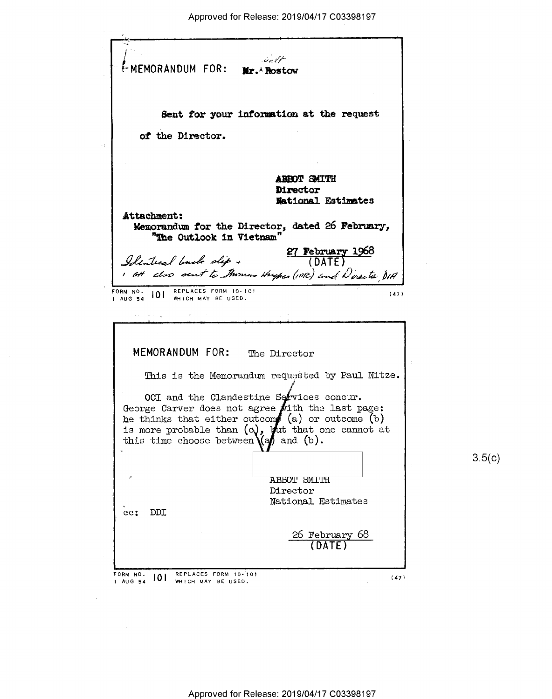Salt EMEMORANDUM FOR: Mr. A Rostow Sent for your information at the request of the Director. **ABBOT SMITH** Director **National Estimates** Attachment: Memorandum for the Director, dated 26 February, "The Outlook in Vietnam"  $\frac{27 \text{ February } 1968}{\text{(DATE)}}$ Identical linck dip + 1 att also sent to thomas Hughes (INR) and Doresta DIA FORM NO. 101 REPLACES FORM 10-101 MEMORANDUM FOR: The Director This is the Memorandum requested by Paul Nitze. OCI and the Clandestine Services concur. George Carver does not agree with the last page: he thinks that either outcome (a) or outcome (b)<br>is more probable than (c), but that one cannot at this time choose between  $\log$  and (b).  $3.5(c)$ **ABBOT SMITH** Director National Estimates cc: DDI 26 February 68 REPLACES FORM 10-101 FORM NO. 101 WHICH MAY BE USED.  $(47)$ 1 AUG 54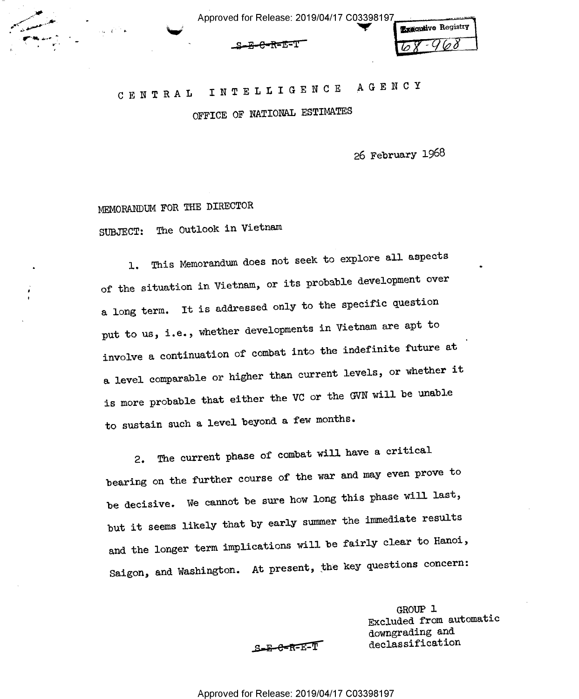|  |                        | <b>Executive Registry</b> |
|--|------------------------|---------------------------|
|  | <del>S-E-C-R-E-T</del> | $68 - 968$                |

 $\bullet$ 

'

# C E N T R A L I N T E L L I G E N C E A G E N <sup>C</sup> <sup>Y</sup>

OFFICE OF NATIONAL ESTIMATES

26 February 1968

MEMORANUM FOR THE DIRECTOR

"gr -

4"' ""7? \_

, which is the contract of the contract of  $\mathbb{R}^n$ 

SUBJECT: The Outlook in Vietnam

l. This Memorandum does not seek to explore all aspects of the situation in Vietnam, or its probable development over a long term. It is addressed only to the specific question put to us, i.e., whether developments in Vietnam are apt to involve a continuation of combat into the indefinite future at a level comparable or higher than current levels, or whether it is more probable that either the VC or the GVN will be unable to sustain such a level beyond a few months.

2. The current phase of combat will have a critical bearing on the further course of the war and may even prove to be decisive. We cannot be sure how long this phase will last, but it seems likely that by early summer the immediate results and the longer term implications will be fairly clear to Hanoi, Saigon, and Washington. At present, the key questions concern:

> GROUP l Excluded from automatic downgrading and S-E-C-K-E-T declassification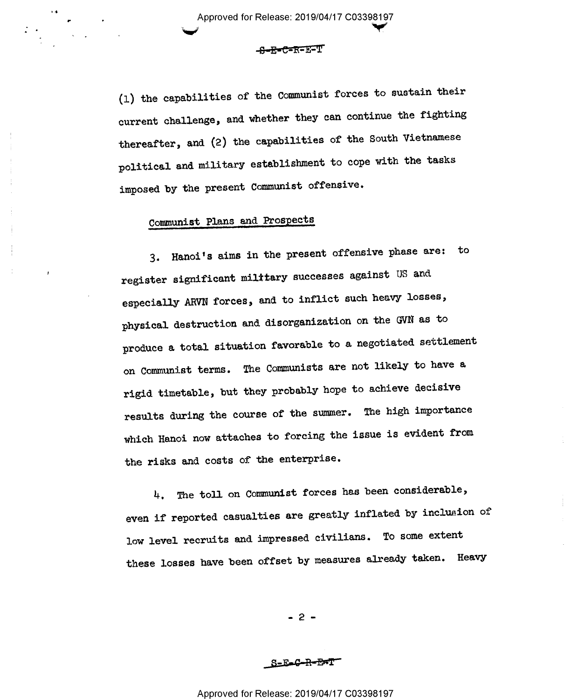<S—E'C=BFIF1T

(l) the capabilities of the Communist forces to sustain their current challenge, and whether they can continue the fighting thereafter, and (2) the capabilities of the South Vietnamese political and military establishment to cope with the tasks imposed by the present Communist offensive.

# Communist Plans and Prospects

3. Hanoi's aims in the present offensive phase are: to register significant military successes against US and especially ARVN forces, and to inflict such heavy losses, physical destruction and disorganization on the GVN as to produce a total situation favorable to a negotiated settlement on Communist terms. The Comunists are not likely to have <sup>a</sup> rigid timetable, but they probably hope to achieve decisive results during the course of the summer. The high importance which Hanoi now attaches to forcing the issue is evident from the risks and costs of the enterprise.

4. The toll on Communist forces has been considerable, even if reported casualties are greatly inflated by inclusion of low level recruits and impressed civilians. To some extent these losses have been offset by measures already taken. Heavy

 $-2 -$ 

S-E-C-R-EFT

Approved for Release: 2019/04/17 C03398197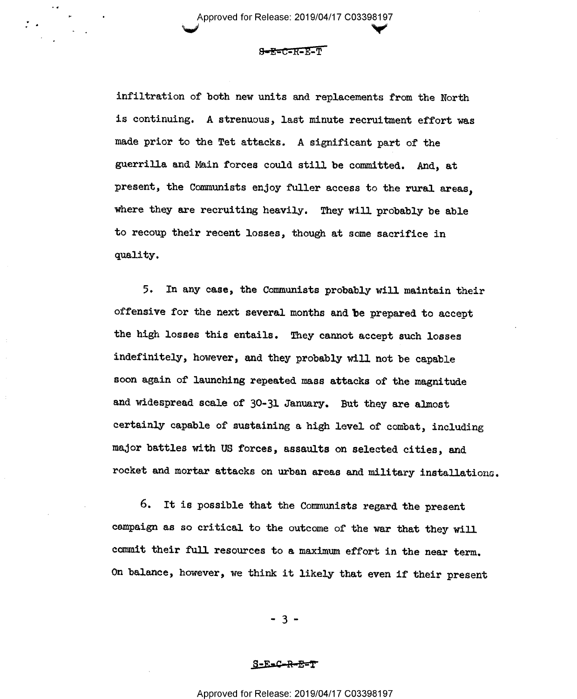Approved for Release: 2019/04/17 C03398197  $\checkmark$ 

v I Evropski političar i Svetova i Svetova i Svetova i Svetova i Svetova i Svetova i Svetova i Svetova i Svetov<br>Dogodki

 $S-Ex-C=R-Ex-T$ 

infiltration of both new units and replacements from the North is continuing. A strenuous, last minute recruitment effort was made prior to the Tet attacks. A significant part of the guerrilla and Main forces could still be committed. And, at present, the Communists enjoy fuller access to the rural areas, where they are recruiting heavily. They will probably be able to recoup their recent losses, though at some sacrifice in quality.

5. In any case, the Communists probably will maintain their offensive for the next several months and be prepared to accept the high losses this entails. They cannot accept such losses indefinitely, however, and they probably will not be capable soon again of launching repeated mss attacks of the magnitude and widespread scale of 30-31 January. But they are almost certainly capable of sustaining a high level of combat, including major battles with US forces, assaults on selected cities, and rocket and mortar attacks on urban areas and military installations

6. It is possible that the Communists regard the present campaign as so critical to the outcome of the war that they will commit their full resources to a maximum effort in the near term. On balance, however, we think it likely that even if their present

-3-

#### S-E=C-R-E=T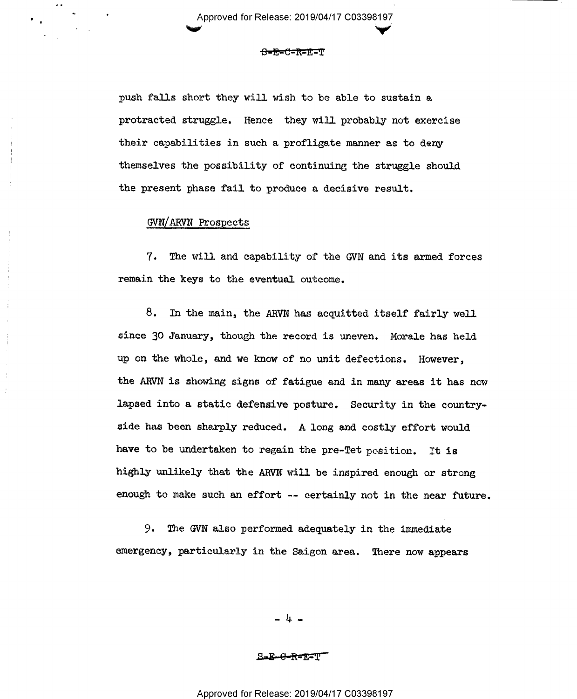Approved for Release: 2019/04/17 C0339819Y

#### <del>8=E=C=R=E=T</del>

push falls short they will wish to be able to sustain a protracted struggle. Hence they will probably not exercise their capabilities in such a profligate manner as to deny themselves the possibility of continuing the struggle should the present phase fail to produce a decisive result.

## GVN/ARVN Prospects

7. The will and capability of the GVN and its armed forces remain the keys to the eventual outcome.

8. In the main, the ARVN has acquitted itself fairly well since 30 January, though the record is uneven. Morale has held up on the whole, and we know of no unit defections. However, the ARVN is showing signs of fatigue and in many areas it has now lapsed into a static defensive posture. Security in the countryside has been sharply reduced. A long and costly effort would have to be undertaken to regain the pre-Tet position. It is highly unlikely that the ARVN will be inspired enough or strong enough to make such an effort -- certainly not in the near future.

9. The GVN also performed adequately in the immediate emergency, particularly in the Saigon area. There now appears

- A -

S=E-G-R=E?F'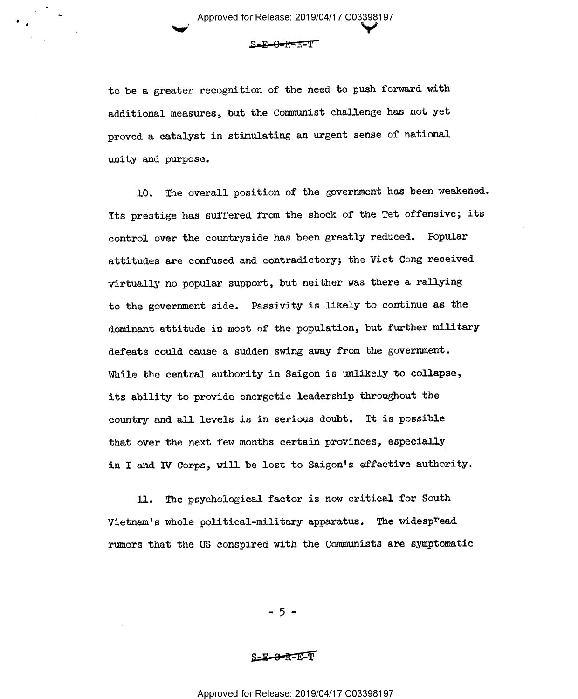S-E-G-R=E=T'

to be a greater recognition of the need to push forward with additional measures, but the Communist challenge has not yet proved a catalyst in stimulating an urgent sense of national unity and purpose.

10. The overall position of the government has been weakened. Its prestige has suffered from the shock of the Tet offensive; its control over the countryside has been greatly reduced. Popular attitudes are confused and contradictory; the Viet Cong received virtually no popular support, but neither was there a rallying to the government side. Passivity is likely to continue as the dominant attitude in most of the population, but further military defeats could cause a sudden swing away from the government. While the central authority in Saigon is unlikely to collapse, its ability to provide energetic leadership throughout the country and all levels is in serious doubt. It is possible that over the next few months certain provinces, especially in I and IV Corps, will be lost to Saigon's effective authority.

ll. The psychological factor is now critical for South Vietnam's whole political-military apparatus. The widespread rumors that the US conspired with the Communists are symptomatic

-5..

#### s-E-e-R-E-T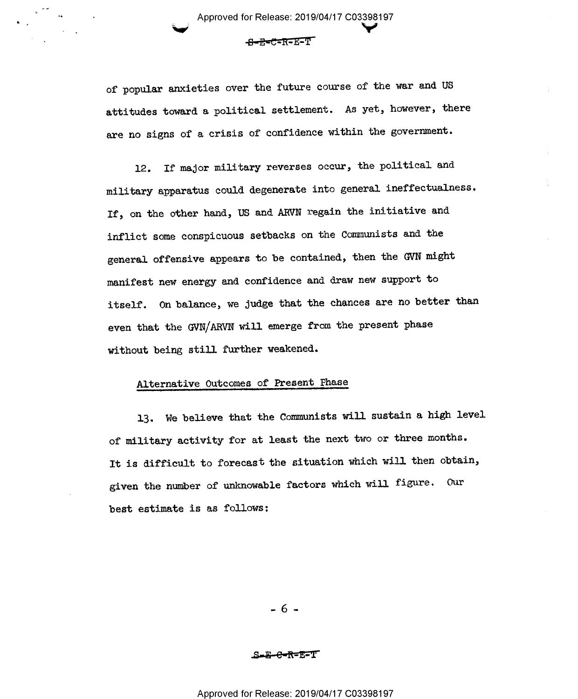of popular anxieties over the future course of the war and US attitudes toward a political settlement. As yet, however, there are no signs of a crisis of confidence within the government.

p Approved for Release: 2019/04/17 C0339§197

 $-$ <del>G-R=C</del>-R=E-T

l2. If major military reverses occur, the political and military apparatus could degenerate into general ineffectualness. If, on the other hand, US and ARVN regain the initiative and inflict some conspicuous setbacks on the Comunists and the general offensive appears to be contained, then the GVN might manifest new energy and confidence and draw new support to itself. On balance, we judge that the chances are no better than even that the GVN/ARVN will emerge from the present phase without being still further weakened.

# Alternative Outcomes of Present Phase

13. We believe that the Communists will sustain a high level of military activity for at least the next two or three months. It is difficult to forecast the situation which will then obtain, given the number of unknowable factors which will figure. Our best estimate is as follows:

 $-6 -$ 

# S<del>-E-C-K-</del>E-T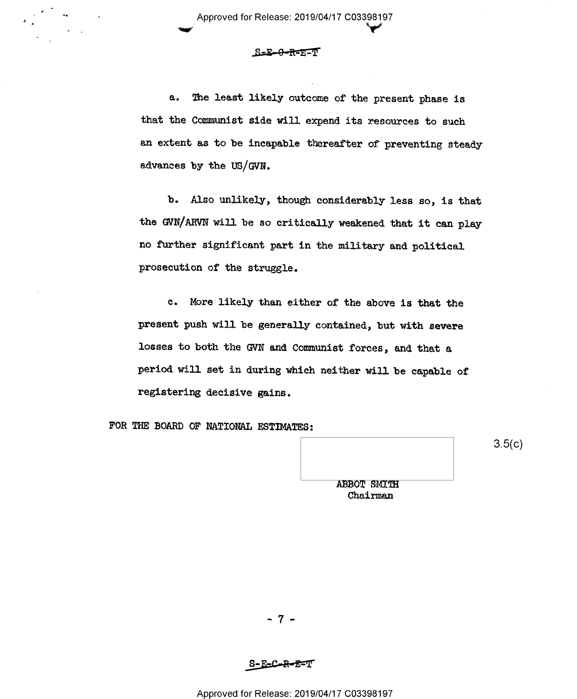### \_.S=E-9-R='-E'IT'

 $\sim$  in the set of  $\sim$ 

e. The least likely outcome of the present phase is that the Communist side will expend its resources to such an extent as to be incapable thereafter of preventing steady advances by the US/GVN.

b. Also unlikely, though considerably less so, is that the GVN/ARVN will be so critically weakened that it can play no further significant part in the military and political prosecution of the struggle.

c. More likely than either of the above is that the present push will be generally contained, but with severe losses to both the GVN and Comunist forces, and that a period will set in during which neither will be capable of registering decisive gains.

FOR THE BOARD OF NATIONAL ESTIMATES:

ABBOT SMITH Chairmen  $3.5(c)$ 

 $-7 -$ 

S-E-C-R-E-T

Approved for Release: 2019/04/17 C03398197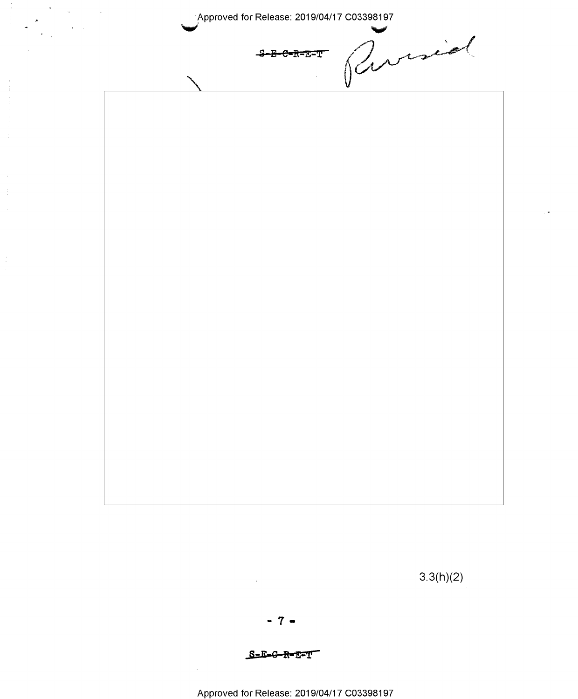Pursiel Approved for Release: 2019/04/17 C03398197 S-E-C-R-E-T  $3.3(h)(2)$  $-7 -$ 

 $\label{eq:2.1} \begin{array}{c} \mathbf{a} \\ \mathbf{w} \\ \mathbf{w} \end{array} \quad \begin{array}{c} \mathbf{a} \\ \mathbf{b} \\ \mathbf{w} \end{array} \quad \begin{array}{c} \mathbf{a} \\ \mathbf{b} \\ \mathbf{w} \end{array}$ 

Approved for Release: 2019/04/17 C03398197

S-E-C-R-E-T